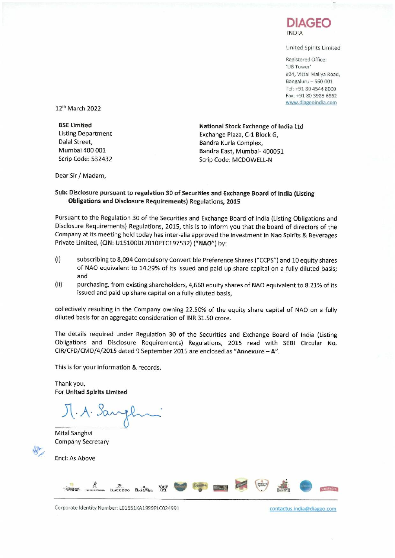

United Spirits Limited

Registered Office: 'us Tower' #24, Vittal Mallya Road, Bengaluru- 560 001 Tel: +91 8045448000 Fax: +91 80 3985 6862 www.diageoindia.com

12<sup>th</sup> March 2022

**BSE limited** Listing Department Dalal Street, Mumbai 400 001 Scrip Code: 532432

**National Stock Exchange of India Ltd** Exchange Plaza, C-l Block G, Bandra Kurla Complex, Bandra East, Mumbai- 400051 Scrip Code: MCDOWELL-N

Dear Sir/ Madam,

## **Sub: Disclosure pursuant to regulation 30 of Securities and Exchange Board of India (Listing Obligations and Disclosure Requirements) Regulations, 2015**

Pursuant to the Regulation 30 of the Securities and Exchange Board of India (Listing Obligations and Disclosure Requirements) Regulations, 2015, this is to inform you that the board of directors of the Company at its meeting held today has inter-alia approved the investment in Nao Spirits & Beverages Private Limited, (ClN: U15100DL2010PTC197532) ("NAO") by:

- (i) subscribing to 8,094 Compulsory Convertible Preference Shares *('/CCPS")* and 10 equity shares of **NAO** equivalent to 14.29% of its issued and paid up share capital on a fully diluted basis; and
- (ii) purchasing, from existing shareholders, 4,660 equity shares of NAO equivalent to 8.21% of its issued and paid up share capital on a fully diluted basis,

collectively resulting in the Company owning 22.50% of the equity share capital of NAO on a fully diluted basis for an aggregate consideration of INR 31.50 crore.

The details required under Regulation 30 of the Securities and Exchange Board of India (Listing Obligations and Disclosure Requirements) Regulations, 2015 read with SEBI Circular No. CIR/CFD/CMD/4/2015 dated 9 September 2015 are enclosed as **"Annexure -** A".

This is for your information & records.

Thank you, For **United Spirits Limited**

J. A. Sangl

Mital Sanghvi Company Secretary

Encl: As Above

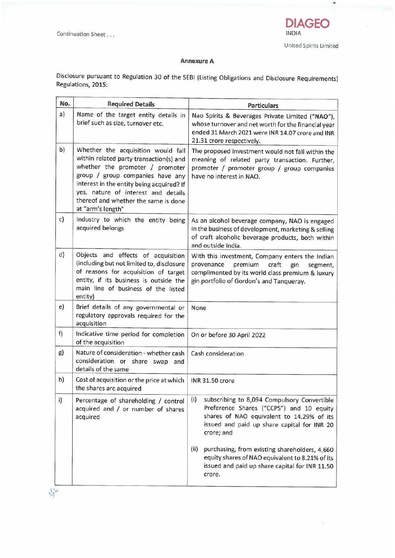$8 -$ 



 $\overline{\phantom{0}}$ 

## **Annexure A**

Disclosure pursuant to Regulation 30 of the SEBI(Listing Obligations and Disclosure Requirements) Regulations, 2015:

| No. | <b>Required Details</b>                                                                                                                                                                                                                                                                               | <b>Particulars</b>                                                                                                                                                                                                                                                                                                                                                               |
|-----|-------------------------------------------------------------------------------------------------------------------------------------------------------------------------------------------------------------------------------------------------------------------------------------------------------|----------------------------------------------------------------------------------------------------------------------------------------------------------------------------------------------------------------------------------------------------------------------------------------------------------------------------------------------------------------------------------|
| a)  | Name of the target entity details in<br>brief such as size, turnover etc.                                                                                                                                                                                                                             | Nao Spirits & Beverages Private Limited ("NAO"),<br>whose turnover and net worth for the financial year<br>ended 31 March 2021 were INR 14.07 crore and INR<br>21.31 crore respectively.                                                                                                                                                                                         |
| b)  | Whether the acquisition would fall<br>within related party transaction(s) and<br>whether the promoter / promoter<br>group / group companies have any<br>interest in the entity being acquired? If<br>yes, nature of interest and details<br>thereof and whether the same is done<br>at "arm's length" | The proposed investment would not fall within the<br>meaning of related party transaction. Further,<br>promoter / promoter group / group companies<br>have no interest in NAO.                                                                                                                                                                                                   |
| c)  | Industry to which the entity being<br>acquired belongs                                                                                                                                                                                                                                                | As an alcohol beverage company, NAO is engaged<br>in the business of development, marketing & selling<br>of craft alcoholic beverage products, both within<br>and outside India.                                                                                                                                                                                                 |
| d)  | Objects and effects of acquisition<br>(including but not limited to, disclosure<br>of reasons for acquisition of target<br>entity, if its business is outside the<br>main line of business of the listed<br>entity)                                                                                   | With this investment, Company enters the Indian<br>provenance<br>premium<br>craft<br>gin<br>segment,<br>complimented by its world class premium & luxury<br>gin portfolio of Gordon's and Tanqueray.                                                                                                                                                                             |
| e)  | Brief details of any governmental or<br>regulatory approvals required for the<br>acquisition                                                                                                                                                                                                          | None                                                                                                                                                                                                                                                                                                                                                                             |
| f)  | Indicative time period for completion<br>of the acquisition                                                                                                                                                                                                                                           | On or before 30 April 2022                                                                                                                                                                                                                                                                                                                                                       |
| g)  | Nature of consideration - whether cash<br>consideration or share swap and<br>details of the same                                                                                                                                                                                                      | Cash consideration                                                                                                                                                                                                                                                                                                                                                               |
| h)  | Cost of acquisition or the price at which<br>the shares are acquired                                                                                                                                                                                                                                  | <b>INR 31.50 crore</b>                                                                                                                                                                                                                                                                                                                                                           |
| i)  | Percentage of shareholding / control<br>acquired and / or number of shares<br>acquired                                                                                                                                                                                                                | (i)<br>subscribing to 8,094 Compulsory Convertible<br>Preference Shares ("CCPS") and 10 equity<br>shares of NAO equivalent to 14.29% of its<br>issued and paid up share capital for INR 20<br>crore; and<br>(ii)<br>purchasing, from existing shareholders, 4,660<br>equity shares of NAO equivalent to 8.21% of its<br>issued and paid up share capital for INR 11.50<br>crore. |